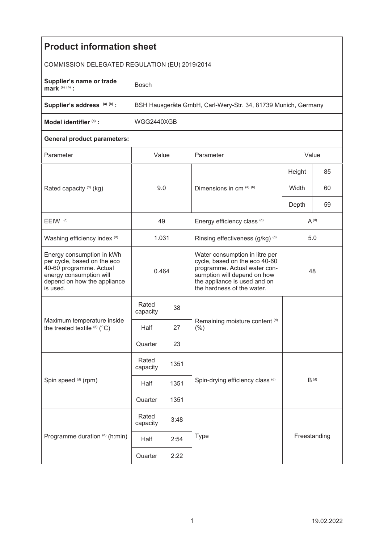| <b>Product information sheet</b>                                                                                                                          |                                                               |      |                                                                                                                                                                                              |           |    |  |  |  |
|-----------------------------------------------------------------------------------------------------------------------------------------------------------|---------------------------------------------------------------|------|----------------------------------------------------------------------------------------------------------------------------------------------------------------------------------------------|-----------|----|--|--|--|
| COMMISSION DELEGATED REGULATION (EU) 2019/2014                                                                                                            |                                                               |      |                                                                                                                                                                                              |           |    |  |  |  |
| Supplier's name or trade<br>mark $(a)$ $(b)$ :                                                                                                            | <b>Bosch</b>                                                  |      |                                                                                                                                                                                              |           |    |  |  |  |
| Supplier's address (a) (b) :                                                                                                                              | BSH Hausgeräte GmbH, Carl-Wery-Str. 34, 81739 Munich, Germany |      |                                                                                                                                                                                              |           |    |  |  |  |
| Model identifier (a) :                                                                                                                                    | WGG2440XGB                                                    |      |                                                                                                                                                                                              |           |    |  |  |  |
| <b>General product parameters:</b>                                                                                                                        |                                                               |      |                                                                                                                                                                                              |           |    |  |  |  |
| Parameter                                                                                                                                                 | Value                                                         |      | Parameter                                                                                                                                                                                    | Value     |    |  |  |  |
| Rated capacity (d) (kg)                                                                                                                                   | 9.0                                                           |      | Dimensions in cm (a) (b)                                                                                                                                                                     | Height    | 85 |  |  |  |
|                                                                                                                                                           |                                                               |      |                                                                                                                                                                                              | Width     | 60 |  |  |  |
|                                                                                                                                                           |                                                               |      |                                                                                                                                                                                              | Depth     | 59 |  |  |  |
| EEIW <sup>(d)</sup>                                                                                                                                       | 49                                                            |      | Energy efficiency class (d)                                                                                                                                                                  | $A^{(d)}$ |    |  |  |  |
| Washing efficiency index (d)                                                                                                                              | 1.031                                                         |      | Rinsing effectiveness (g/kg) (d)                                                                                                                                                             | 5.0       |    |  |  |  |
| Energy consumption in kWh<br>per cycle, based on the eco<br>40-60 programme. Actual<br>energy consumption will<br>depend on how the appliance<br>is used. | 0.464                                                         |      | Water consumption in litre per<br>cycle, based on the eco 40-60<br>programme. Actual water con-<br>sumption will depend on how<br>the appliance is used and on<br>the hardness of the water. | 48        |    |  |  |  |
| Maximum temperature inside<br>the treated textile (d) (°C)                                                                                                | Rated<br>capacity                                             | 38   |                                                                                                                                                                                              |           |    |  |  |  |
|                                                                                                                                                           | Half                                                          | 27   | Remaining moisture content (d)<br>(% )                                                                                                                                                       |           |    |  |  |  |
|                                                                                                                                                           | Quarter                                                       | 23   |                                                                                                                                                                                              |           |    |  |  |  |
| Spin speed (d) (rpm)                                                                                                                                      | Rated<br>capacity                                             | 1351 | $B^{(d)}$<br>Spin-drying efficiency class (d)                                                                                                                                                |           |    |  |  |  |
|                                                                                                                                                           | Half                                                          | 1351 |                                                                                                                                                                                              |           |    |  |  |  |
|                                                                                                                                                           | Quarter                                                       | 1351 |                                                                                                                                                                                              |           |    |  |  |  |
| Programme duration (d) (h:min)                                                                                                                            | Rated<br>capacity                                             | 3:48 |                                                                                                                                                                                              |           |    |  |  |  |
|                                                                                                                                                           | Half                                                          | 2:54 | Freestanding<br>Type<br>2:22                                                                                                                                                                 |           |    |  |  |  |
|                                                                                                                                                           | Quarter                                                       |      |                                                                                                                                                                                              |           |    |  |  |  |